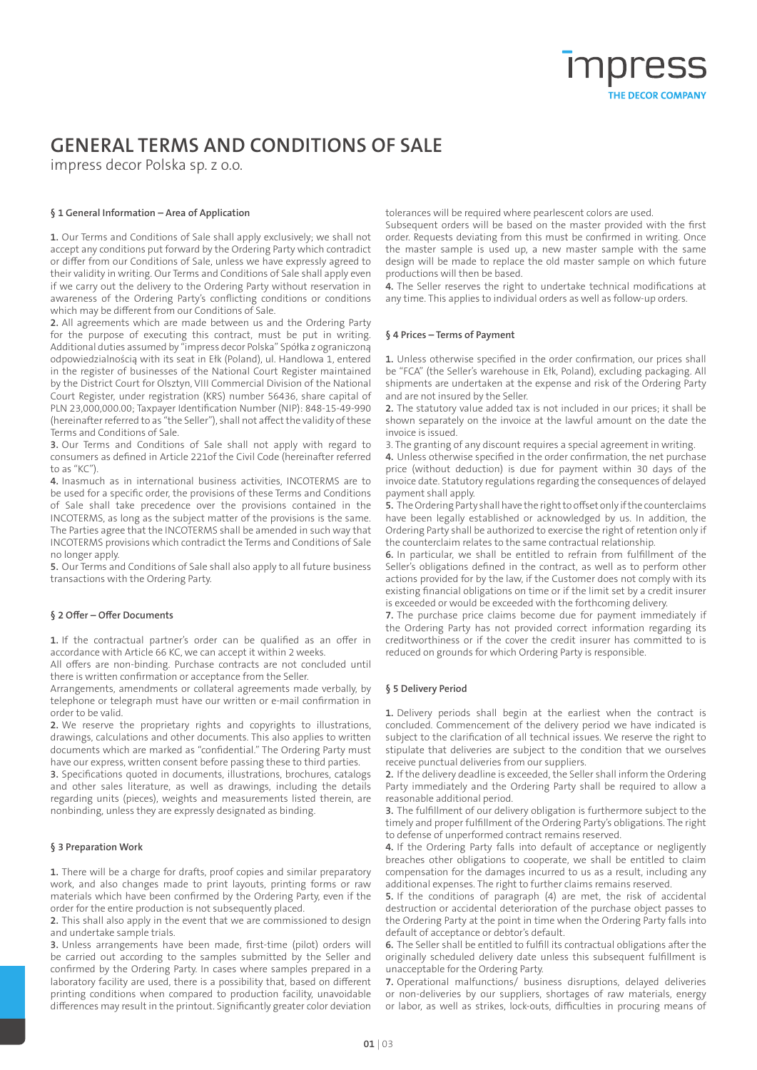# **GENERAL TERMS AND CONDITIONS OF SALE**

impress decor Polska sp. z o.o.

### **§ 1 General Information – Area of Application**

**1.** Our Terms and Conditions of Sale shall apply exclusively; we shall not accept any conditions put forward by the Ordering Party which contradict or differ from our Conditions of Sale, unless we have expressly agreed to their validity in writing. Our Terms and Conditions of Sale shall apply even if we carry out the delivery to the Ordering Party without reservation in awareness of the Ordering Party's conflicting conditions or conditions which may be different from our Conditions of Sale.

**2.** All agreements which are made between us and the Ordering Party for the purpose of executing this contract, must be put in writing. Additional duties assumed by "impress decor Polska" Spółka z ograniczoną odpowiedzialnością with its seat in Ełk (Poland), ul. Handlowa 1, entered in the register of businesses of the National Court Register maintained by the District Court for Olsztyn, VIII Commercial Division of the National Court Register, under registration (KRS) number 56436, share capital of PLN 23,000,000.00; Taxpayer Identification Number (NIP): 848-15-49-990 (hereinafter referred to as "the Seller"), shall not affect the validity of these Terms and Conditions of Sale.

**3.** Our Terms and Conditions of Sale shall not apply with regard to consumers as defined in Article 221of the Civil Code (hereinafter referred to as "KC").

**4.** Inasmuch as in international business activities, INCOTERMS are to be used for a specific order, the provisions of these Terms and Conditions of Sale shall take precedence over the provisions contained in the INCOTERMS, as long as the subject matter of the provisions is the same. The Parties agree that the INCOTERMS shall be amended in such way that INCOTERMS provisions which contradict the Terms and Conditions of Sale no longer apply.

**5.** Our Terms and Conditions of Sale shall also apply to all future business transactions with the Ordering Party.

# **§ 2 Offer – Offer Documents**

**1.** If the contractual partner's order can be qualified as an offer in accordance with Article 66 KC, we can accept it within 2 weeks.

All offers are non-binding. Purchase contracts are not concluded until there is written confirmation or acceptance from the Seller.

Arrangements, amendments or collateral agreements made verbally, by telephone or telegraph must have our written or e-mail confirmation in order to be valid.

**2.** We reserve the proprietary rights and copyrights to illustrations, drawings, calculations and other documents. This also applies to written documents which are marked as "confidential." The Ordering Party must have our express, written consent before passing these to third parties.

**3.** Specifications quoted in documents, illustrations, brochures, catalogs and other sales literature, as well as drawings, including the details regarding units (pieces), weights and measurements listed therein, are nonbinding, unless they are expressly designated as binding.

# **§ 3 Preparation Work**

**1.** There will be a charge for drafts, proof copies and similar preparatory work, and also changes made to print layouts, printing forms or raw materials which have been confirmed by the Ordering Party, even if the order for the entire production is not subsequently placed.

**2.** This shall also apply in the event that we are commissioned to design and undertake sample trials.

**3.** Unless arrangements have been made, first-time (pilot) orders will be carried out according to the samples submitted by the Seller and confirmed by the Ordering Party. In cases where samples prepared in a laboratory facility are used, there is a possibility that, based on different printing conditions when compared to production facility, unavoidable differences may result in the printout. Significantly greater color deviation

tolerances will be required where pearlescent colors are used.

Subsequent orders will be based on the master provided with the first order. Requests deviating from this must be confirmed in writing. Once the master sample is used up, a new master sample with the same design will be made to replace the old master sample on which future productions will then be based.

**4.** The Seller reserves the right to undertake technical modifications at any time. This applies to individual orders as well as follow-up orders.

#### **§ 4 Prices – Terms of Payment**

**1.** Unless otherwise specified in the order confirmation, our prices shall be "FCA" (the Seller's warehouse in Ełk, Poland), excluding packaging. All shipments are undertaken at the expense and risk of the Ordering Party and are not insured by the Seller.

**2.** The statutory value added tax is not included in our prices; it shall be shown separately on the invoice at the lawful amount on the date the invoice is issued.

3. The granting of any discount requires a special agreement in writing.

**4.** Unless otherwise specified in the order confirmation, the net purchase price (without deduction) is due for payment within 30 days of the invoice date. Statutory regulations regarding the consequences of delayed payment shall apply.

**5.** The Ordering Party shall have the right to offset only if the counterclaims have been legally established or acknowledged by us. In addition, the Ordering Party shall be authorized to exercise the right of retention only if the counterclaim relates to the same contractual relationship.

**6.** In particular, we shall be entitled to refrain from fulfillment of the Seller's obligations defined in the contract, as well as to perform other actions provided for by the law, if the Customer does not comply with its existing financial obligations on time or if the limit set by a credit insurer is exceeded or would be exceeded with the forthcoming delivery.

**7.** The purchase price claims become due for payment immediately if the Ordering Party has not provided correct information regarding its creditworthiness or if the cover the credit insurer has committed to is reduced on grounds for which Ordering Party is responsible.

#### **§ 5 Delivery Period**

**1.** Delivery periods shall begin at the earliest when the contract is concluded. Commencement of the delivery period we have indicated is subject to the clarification of all technical issues. We reserve the right to stipulate that deliveries are subject to the condition that we ourselves receive punctual deliveries from our suppliers.

**2.** If the delivery deadline is exceeded, the Seller shall inform the Ordering Party immediately and the Ordering Party shall be required to allow a reasonable additional period.

**3.** The fulfillment of our delivery obligation is furthermore subject to the timely and proper fulfillment of the Ordering Party's obligations. The right to defense of unperformed contract remains reserved.

**4.** If the Ordering Party falls into default of acceptance or negligently breaches other obligations to cooperate, we shall be entitled to claim compensation for the damages incurred to us as a result, including any additional expenses. The right to further claims remains reserved.

**5.** If the conditions of paragraph (4) are met, the risk of accidental destruction or accidental deterioration of the purchase object passes to the Ordering Party at the point in time when the Ordering Party falls into default of acceptance or debtor's default.

**6.** The Seller shall be entitled to fulfill its contractual obligations after the originally scheduled delivery date unless this subsequent fulfillment is unacceptable for the Ordering Party.

**7.** Operational malfunctions/ business disruptions, delayed deliveries or non-deliveries by our suppliers, shortages of raw materials, energy or labor, as well as strikes, lock-outs, difficulties in procuring means of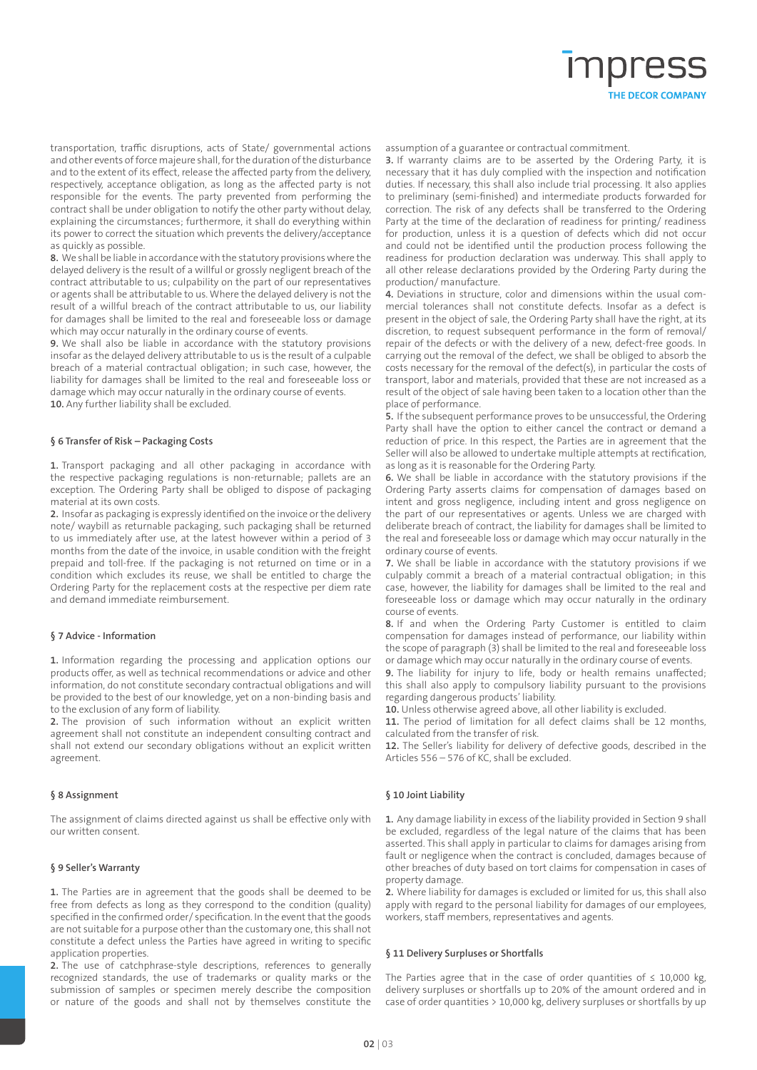# THE DECOR COMPANY

transportation, traffic disruptions, acts of State/ governmental actions and other events of force majeure shall, for the duration of the disturbance and to the extent of its effect, release the affected party from the delivery, respectively, acceptance obligation, as long as the affected party is not responsible for the events. The party prevented from performing the contract shall be under obligation to notify the other party without delay, explaining the circumstances; furthermore, it shall do everything within its power to correct the situation which prevents the delivery/acceptance as quickly as possible.

**8.** We shall be liable in accordance with the statutory provisions where the delayed delivery is the result of a willful or grossly negligent breach of the contract attributable to us; culpability on the part of our representatives or agents shall be attributable to us. Where the delayed delivery is not the result of a willful breach of the contract attributable to us, our liability for damages shall be limited to the real and foreseeable loss or damage which may occur naturally in the ordinary course of events.

**9.** We shall also be liable in accordance with the statutory provisions insofar as the delayed delivery attributable to us is the result of a culpable breach of a material contractual obligation; in such case, however, the liability for damages shall be limited to the real and foreseeable loss or damage which may occur naturally in the ordinary course of events. **10.** Any further liability shall be excluded.

#### **§ 6 Transfer of Risk – Packaging Costs**

**1.** Transport packaging and all other packaging in accordance with the respective packaging regulations is non-returnable; pallets are an exception. The Ordering Party shall be obliged to dispose of packaging material at its own costs.

**2.** Insofar as packaging is expressly identified on the invoice or the delivery note/ waybill as returnable packaging, such packaging shall be returned to us immediately after use, at the latest however within a period of 3 months from the date of the invoice, in usable condition with the freight prepaid and toll-free. If the packaging is not returned on time or in a condition which excludes its reuse, we shall be entitled to charge the Ordering Party for the replacement costs at the respective per diem rate and demand immediate reimbursement.

#### **§ 7 Advice - Information**

**1.** Information regarding the processing and application options our products offer, as well as technical recommendations or advice and other information, do not constitute secondary contractual obligations and will be provided to the best of our knowledge, yet on a non-binding basis and to the exclusion of any form of liability.

**2.** The provision of such information without an explicit written agreement shall not constitute an independent consulting contract and shall not extend our secondary obligations without an explicit written agreement.

#### **§ 8 Assignment**

The assignment of claims directed against us shall be effective only with our written consent.

#### **§ 9 Seller's Warranty**

**1.** The Parties are in agreement that the goods shall be deemed to be free from defects as long as they correspond to the condition (quality) specified in the confirmed order/ specification. In the event that the goods are not suitable for a purpose other than the customary one, this shall not constitute a defect unless the Parties have agreed in writing to specific application properties.

**2.** The use of catchphrase-style descriptions, references to generally recognized standards, the use of trademarks or quality marks or the submission of samples or specimen merely describe the composition or nature of the goods and shall not by themselves constitute the assumption of a guarantee or contractual commitment.

**3.** If warranty claims are to be asserted by the Ordering Party, it is necessary that it has duly complied with the inspection and notification duties. If necessary, this shall also include trial processing. It also applies to preliminary (semi-finished) and intermediate products forwarded for correction. The risk of any defects shall be transferred to the Ordering Party at the time of the declaration of readiness for printing/ readiness for production, unless it is a question of defects which did not occur and could not be identified until the production process following the readiness for production declaration was underway. This shall apply to all other release declarations provided by the Ordering Party during the production/ manufacture.

**4.** Deviations in structure, color and dimensions within the usual commercial tolerances shall not constitute defects. Insofar as a defect is present in the object of sale, the Ordering Party shall have the right, at its discretion, to request subsequent performance in the form of removal/ repair of the defects or with the delivery of a new, defect-free goods. In carrying out the removal of the defect, we shall be obliged to absorb the costs necessary for the removal of the defect(s), in particular the costs of transport, labor and materials, provided that these are not increased as a result of the object of sale having been taken to a location other than the place of performance.

**5.** If the subsequent performance proves to be unsuccessful, the Ordering Party shall have the option to either cancel the contract or demand a reduction of price. In this respect, the Parties are in agreement that the Seller will also be allowed to undertake multiple attempts at rectification, as long as it is reasonable for the Ordering Party.

**6.** We shall be liable in accordance with the statutory provisions if the Ordering Party asserts claims for compensation of damages based on intent and gross negligence, including intent and gross negligence on the part of our representatives or agents. Unless we are charged with deliberate breach of contract, the liability for damages shall be limited to the real and foreseeable loss or damage which may occur naturally in the ordinary course of events.

**7.** We shall be liable in accordance with the statutory provisions if we culpably commit a breach of a material contractual obligation; in this case, however, the liability for damages shall be limited to the real and foreseeable loss or damage which may occur naturally in the ordinary course of events.

**8.** If and when the Ordering Party Customer is entitled to claim compensation for damages instead of performance, our liability within the scope of paragraph (3) shall be limited to the real and foreseeable loss or damage which may occur naturally in the ordinary course of events.

**9.** The liability for injury to life, body or health remains unaffected; this shall also apply to compulsory liability pursuant to the provisions regarding dangerous products' liability.

**10.** Unless otherwise agreed above, all other liability is excluded.

**11.** The period of limitation for all defect claims shall be 12 months, calculated from the transfer of risk.

**12.** The Seller's liability for delivery of defective goods, described in the Articles 556 – 576 of KC, shall be excluded.

#### **§ 10 Joint Liability**

**1.** Any damage liability in excess of the liability provided in Section 9 shall be excluded, regardless of the legal nature of the claims that has been asserted. This shall apply in particular to claims for damages arising from fault or negligence when the contract is concluded, damages because of other breaches of duty based on tort claims for compensation in cases of property damage.

**2.** Where liability for damages is excluded or limited for us, this shall also apply with regard to the personal liability for damages of our employees, workers, staff members, representatives and agents.

#### **§ 11 Delivery Surpluses or Shortfalls**

The Parties agree that in the case of order quantities of  $\leq$  10,000 kg, delivery surpluses or shortfalls up to 20% of the amount ordered and in case of order quantities > 10,000 kg, delivery surpluses or shortfalls by up